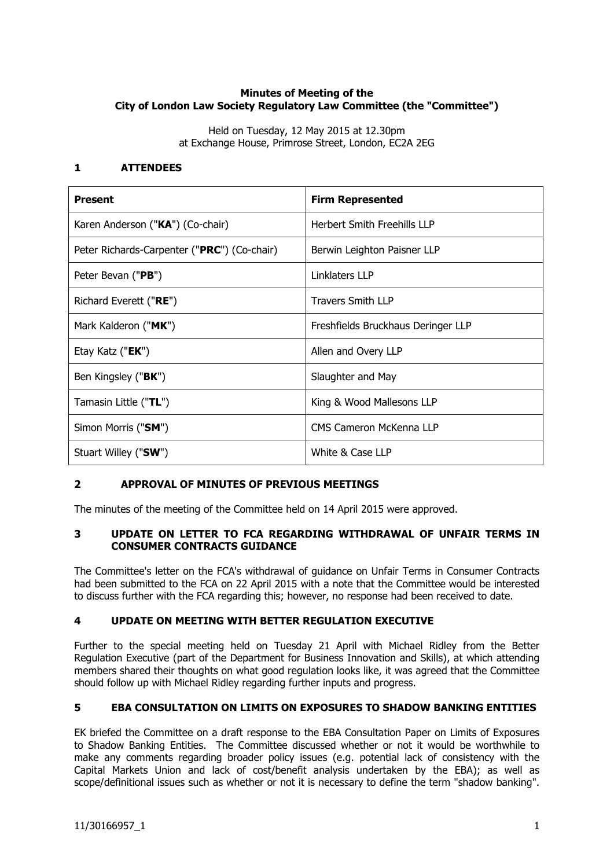# **Minutes of Meeting of the City of London Law Society Regulatory Law Committee (the "Committee")**

Held on Tuesday, 12 May 2015 at 12.30pm at Exchange House, Primrose Street, London, EC2A 2EG

## **1 ATTENDEES**

| <b>Present</b>                              | <b>Firm Represented</b>            |
|---------------------------------------------|------------------------------------|
| Karen Anderson ("KA") (Co-chair)            | Herbert Smith Freehills LLP        |
| Peter Richards-Carpenter ("PRC") (Co-chair) | Berwin Leighton Paisner LLP        |
| Peter Bevan ("PB")                          | Linklaters LLP                     |
| Richard Everett ("RE")                      | <b>Travers Smith LLP</b>           |
| Mark Kalderon ("MK")                        | Freshfields Bruckhaus Deringer LLP |
| Etay Katz (" <b>EK</b> ")                   | Allen and Overy LLP                |
| Ben Kingsley (" <b>BK</b> ")                | Slaughter and May                  |
| Tamasin Little ("TL")                       | King & Wood Mallesons LLP          |
| Simon Morris ("SM")                         | CMS Cameron McKenna LLP            |
| Stuart Willey ("SW")                        | White & Case LLP                   |

# **2 APPROVAL OF MINUTES OF PREVIOUS MEETINGS**

The minutes of the meeting of the Committee held on 14 April 2015 were approved.

## **3 UPDATE ON LETTER TO FCA REGARDING WITHDRAWAL OF UNFAIR TERMS IN CONSUMER CONTRACTS GUIDANCE**

The Committee's letter on the FCA's withdrawal of guidance on Unfair Terms in Consumer Contracts had been submitted to the FCA on 22 April 2015 with a note that the Committee would be interested to discuss further with the FCA regarding this; however, no response had been received to date.

# **4 UPDATE ON MEETING WITH BETTER REGULATION EXECUTIVE**

Further to the special meeting held on Tuesday 21 April with Michael Ridley from the Better Regulation Executive (part of the Department for Business Innovation and Skills), at which attending members shared their thoughts on what good regulation looks like, it was agreed that the Committee should follow up with Michael Ridley regarding further inputs and progress.

# **5 EBA CONSULTATION ON LIMITS ON EXPOSURES TO SHADOW BANKING ENTITIES**

EK briefed the Committee on a draft response to the EBA Consultation Paper on Limits of Exposures to Shadow Banking Entities. The Committee discussed whether or not it would be worthwhile to make any comments regarding broader policy issues (e.g. potential lack of consistency with the Capital Markets Union and lack of cost/benefit analysis undertaken by the EBA); as well as scope/definitional issues such as whether or not it is necessary to define the term "shadow banking".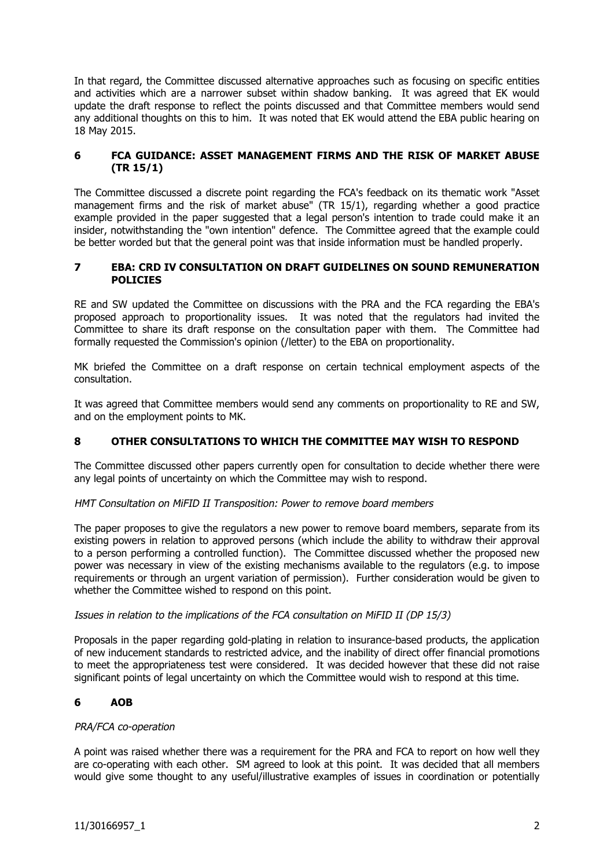In that regard, the Committee discussed alternative approaches such as focusing on specific entities and activities which are a narrower subset within shadow banking. It was agreed that EK would update the draft response to reflect the points discussed and that Committee members would send any additional thoughts on this to him. It was noted that EK would attend the EBA public hearing on 18 May 2015.

## **6 FCA GUIDANCE: ASSET MANAGEMENT FIRMS AND THE RISK OF MARKET ABUSE (TR 15/1)**

The Committee discussed a discrete point regarding the FCA's feedback on its thematic work "Asset management firms and the risk of market abuse" (TR 15/1), regarding whether a good practice example provided in the paper suggested that a legal person's intention to trade could make it an insider, notwithstanding the "own intention" defence. The Committee agreed that the example could be better worded but that the general point was that inside information must be handled properly.

### **7 EBA: CRD IV CONSULTATION ON DRAFT GUIDELINES ON SOUND REMUNERATION POLICIES**

RE and SW updated the Committee on discussions with the PRA and the FCA regarding the EBA's proposed approach to proportionality issues. It was noted that the regulators had invited the Committee to share its draft response on the consultation paper with them. The Committee had formally requested the Commission's opinion (/letter) to the EBA on proportionality.

MK briefed the Committee on a draft response on certain technical employment aspects of the consultation.

It was agreed that Committee members would send any comments on proportionality to RE and SW, and on the employment points to MK.

# **8 OTHER CONSULTATIONS TO WHICH THE COMMITTEE MAY WISH TO RESPOND**

The Committee discussed other papers currently open for consultation to decide whether there were any legal points of uncertainty on which the Committee may wish to respond.

### HMT Consultation on MiFID II Transposition: Power to remove board members

The paper proposes to give the regulators a new power to remove board members, separate from its existing powers in relation to approved persons (which include the ability to withdraw their approval to a person performing a controlled function). The Committee discussed whether the proposed new power was necessary in view of the existing mechanisms available to the regulators (e.g. to impose requirements or through an urgent variation of permission). Further consideration would be given to whether the Committee wished to respond on this point.

### Issues in relation to the implications of the FCA consultation on MiFID II (DP 15/3)

Proposals in the paper regarding gold-plating in relation to insurance-based products, the application of new inducement standards to restricted advice, and the inability of direct offer financial promotions to meet the appropriateness test were considered. It was decided however that these did not raise significant points of legal uncertainty on which the Committee would wish to respond at this time.

### **6 AOB**

### PRA/FCA co-operation

A point was raised whether there was a requirement for the PRA and FCA to report on how well they are co-operating with each other. SM agreed to look at this point. It was decided that all members would give some thought to any useful/illustrative examples of issues in coordination or potentially